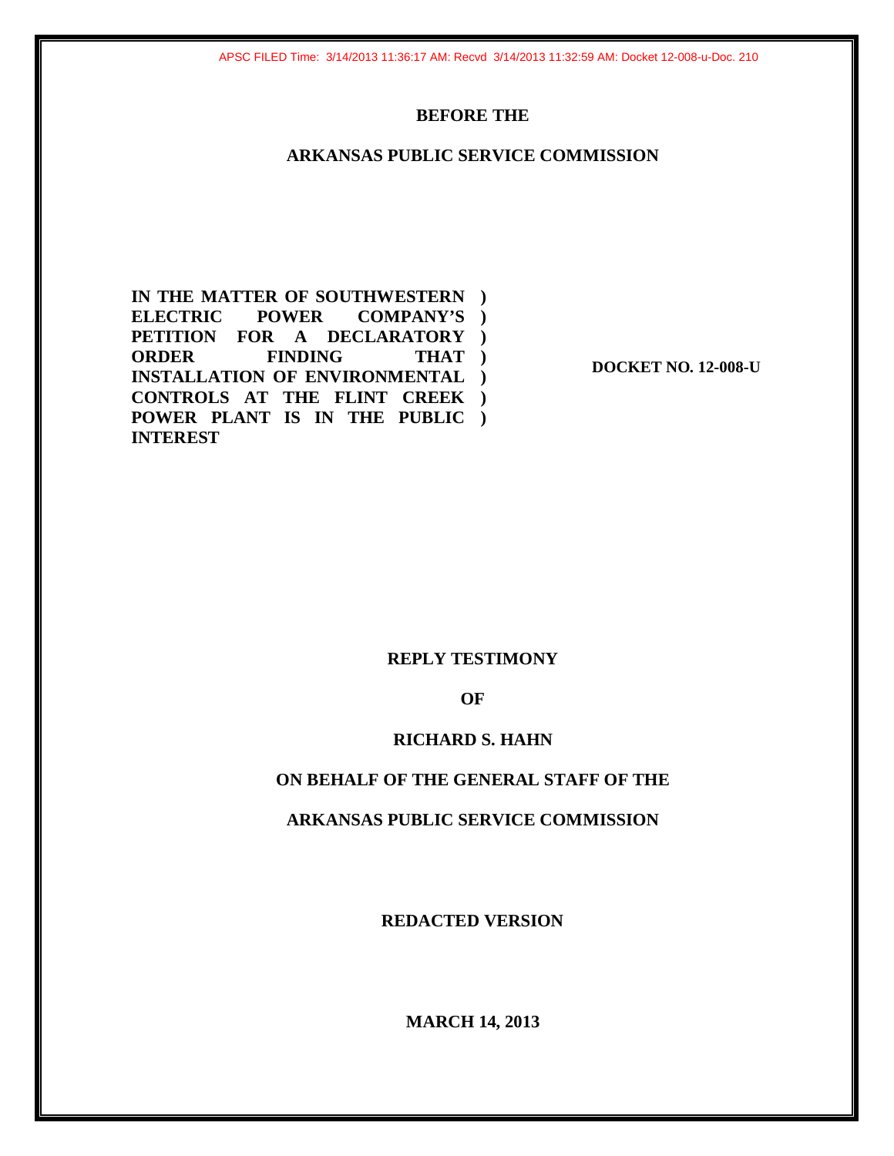### **BEFORE THE**

### **ARKANSAS PUBLIC SERVICE COMMISSION**

**IN THE MATTER OF SOUTHWESTERN ) ELECTRIC POWER COMPANY'S ) PETITION FOR A DECLARATORY ) ORDER FINDING INSTALLATION OF ENVIRONMENTAL ) CONTROLS AT THE FLINT CREEK ) POWER PLANT IS IN THE PUBLIC ) INTEREST )** 

**DOCKET NO. 12-008-U** 

### **REPLY TESTIMONY**

**OF** 

### **RICHARD S. HAHN**

### **ON BEHALF OF THE GENERAL STAFF OF THE**

### **ARKANSAS PUBLIC SERVICE COMMISSION**

**REDACTED VERSION** 

**MARCH 14, 2013**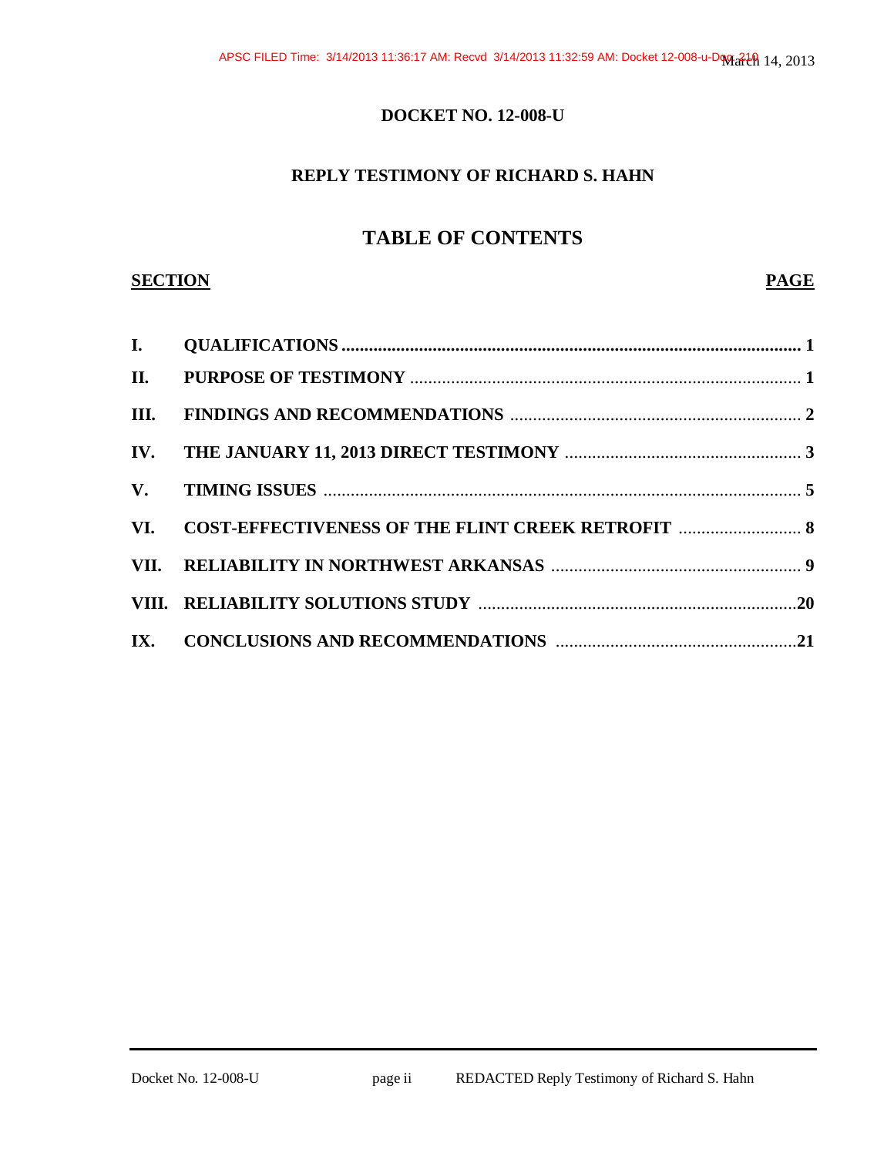### **DOCKET NO. 12-008-U**

### **REPLY TESTIMONY OF RICHARD S. HAHN**

### **TABLE OF CONTENTS**

### **SECTION PAGE**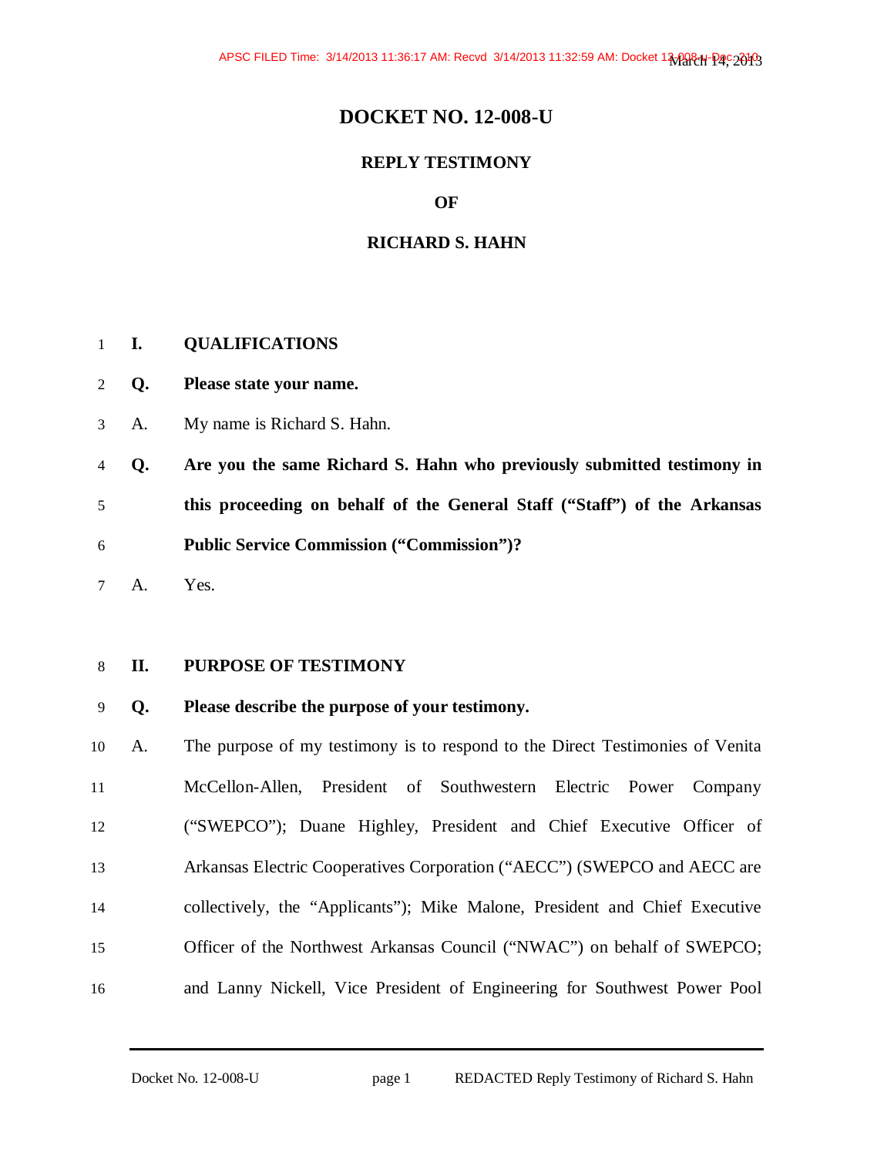### **DOCKET NO. 12-008-U**

### **REPLY TESTIMONY**

### **OF**

### **RICHARD S. HAHN**

### **I. QUALIFICATIONS**

- **Q. Please state your name.**
- A. My name is Richard S. Hahn.
- **Q. Are you the same Richard S. Hahn who previously submitted testimony in this proceeding on behalf of the General Staff ("Staff") of the Arkansas Public Service Commission ("Commission")?**
- A. Yes.

### **II. PURPOSE OF TESTIMONY**

### **Q. Please describe the purpose of your testimony.**

A. The purpose of my testimony is to respond to the Direct Testimonies of Venita McCellon-Allen, President of Southwestern Electric Power Company ("SWEPCO"); Duane Highley, President and Chief Executive Officer of Arkansas Electric Cooperatives Corporation ("AECC") (SWEPCO and AECC are collectively, the "Applicants"); Mike Malone, President and Chief Executive Officer of the Northwest Arkansas Council ("NWAC") on behalf of SWEPCO; and Lanny Nickell, Vice President of Engineering for Southwest Power Pool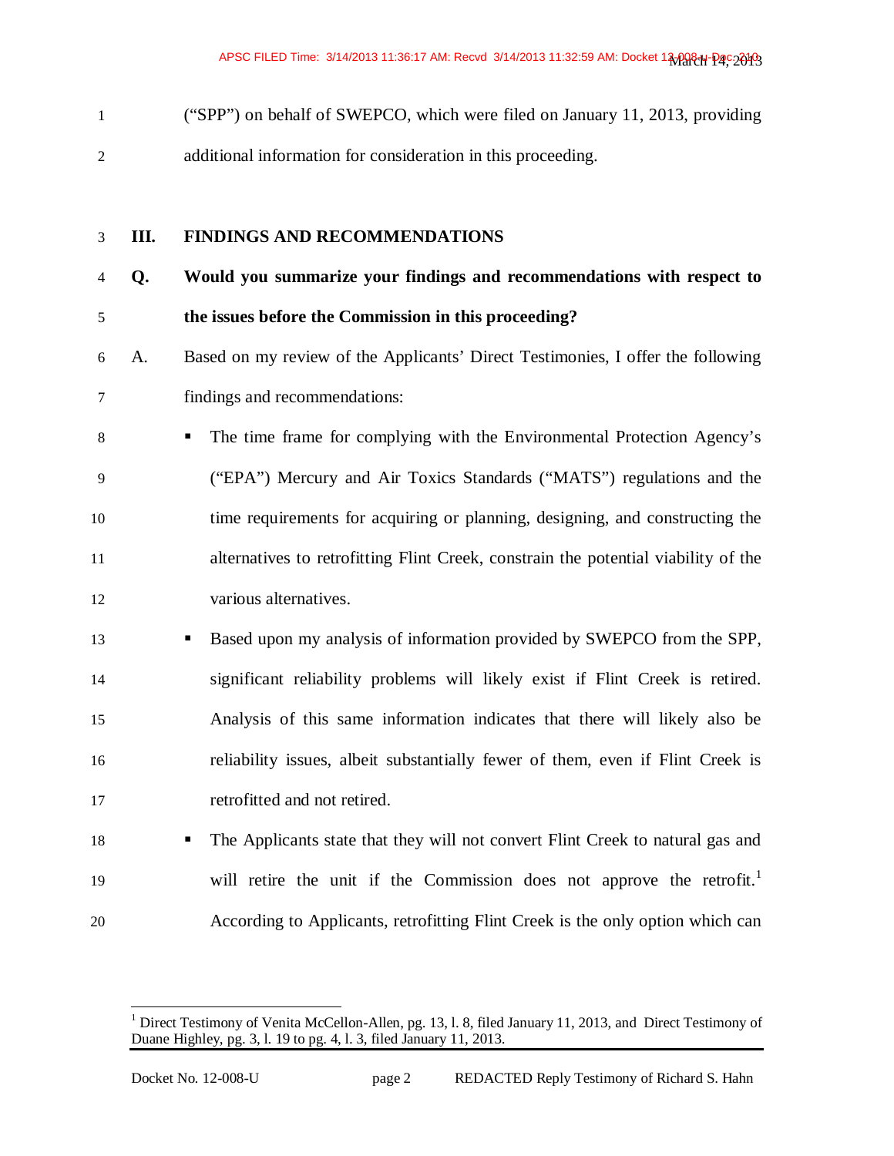("SPP") on behalf of SWEPCO, which were filed on January 11, 2013, providing additional information for consideration in this proceeding.

| $\mathfrak{Z}$ | Ш. | FINDINGS AND RECOMMENDATIONS                                                        |
|----------------|----|-------------------------------------------------------------------------------------|
| $\overline{4}$ | Q. | Would you summarize your findings and recommendations with respect to               |
| $\mathfrak s$  |    | the issues before the Commission in this proceeding?                                |
| 6              | A. | Based on my review of the Applicants' Direct Testimonies, I offer the following     |
| 7              |    | findings and recommendations:                                                       |
| $8\,$          |    | The time frame for complying with the Environmental Protection Agency's             |
| 9              |    | ("EPA") Mercury and Air Toxics Standards ("MATS") regulations and the               |
| 10             |    | time requirements for acquiring or planning, designing, and constructing the        |
| 11             |    | alternatives to retrofitting Flint Creek, constrain the potential viability of the  |
| 12             |    | various alternatives.                                                               |
| 13             |    | Based upon my analysis of information provided by SWEPCO from the SPP,<br>п         |
| 14             |    | significant reliability problems will likely exist if Flint Creek is retired.       |
| 15             |    | Analysis of this same information indicates that there will likely also be          |
| 16             |    | reliability issues, albeit substantially fewer of them, even if Flint Creek is      |
| 17             |    | retrofitted and not retired.                                                        |
| 18             |    | The Applicants state that they will not convert Flint Creek to natural gas and<br>٠ |
| 19             |    | will retire the unit if the Commission does not approve the retrofit. <sup>1</sup>  |
| 20             |    | According to Applicants, retrofitting Flint Creek is the only option which can      |

<sup>1&</sup>lt;br>
<sup>1</sup> Direct Testimony of Venita McCellon-Allen, pg. 13, l. 8, filed January 11, 2013, and Direct Testimony of Duane Highley, pg. 3, l. 19 to pg. 4, l. 3, filed January 11, 2013.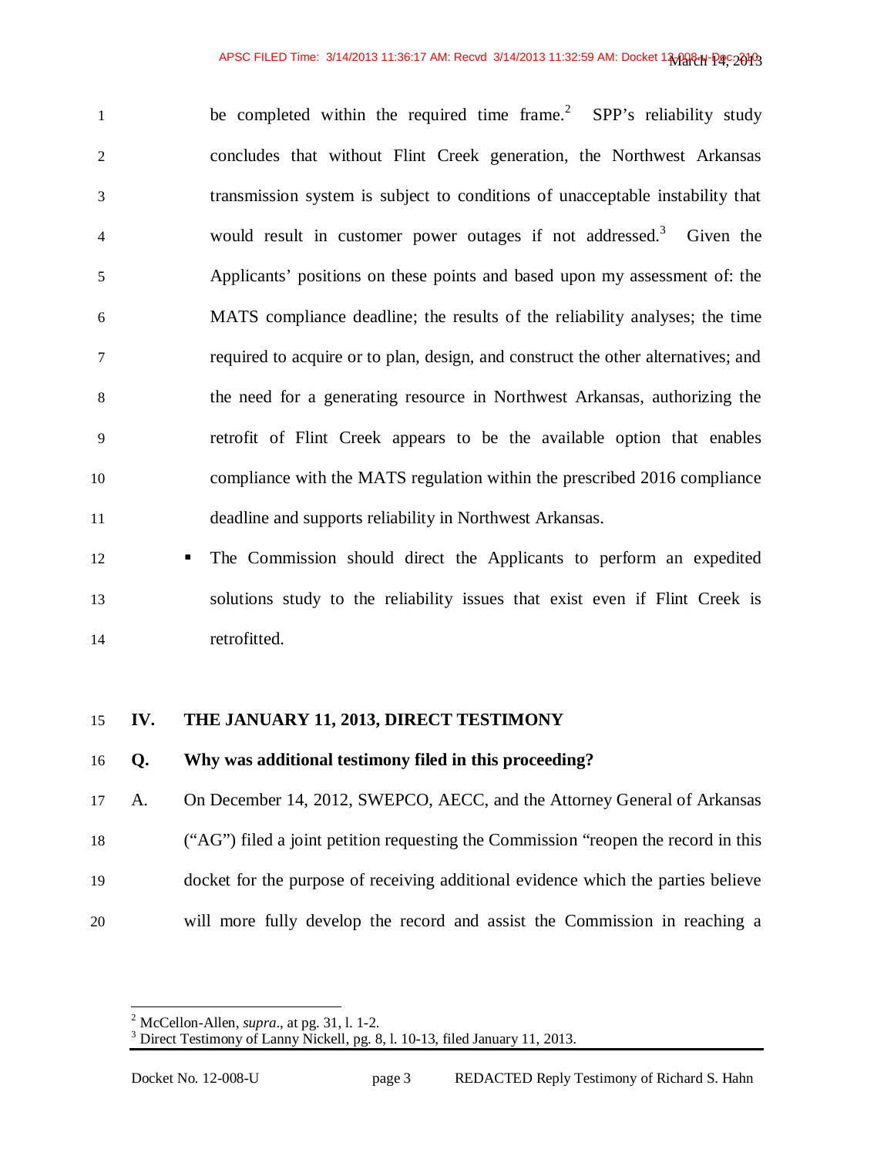1 be completed within the required time frame.<sup>2</sup> SPP's reliability study concludes that without Flint Creek generation, the Northwest Arkansas transmission system is subject to conditions of unacceptable instability that 4 would result in customer power outages if not addressed.<sup>3</sup> Given the Applicants' positions on these points and based upon my assessment of: the MATS compliance deadline; the results of the reliability analyses; the time required to acquire or to plan, design, and construct the other alternatives; and the need for a generating resource in Northwest Arkansas, authorizing the retrofit of Flint Creek appears to be the available option that enables compliance with the MATS regulation within the prescribed 2016 compliance deadline and supports reliability in Northwest Arkansas.

 The Commission should direct the Applicants to perform an expedited solutions study to the reliability issues that exist even if Flint Creek is retrofitted.

### **IV. THE JANUARY 11, 2013, DIRECT TESTIMONY**

### **Q. Why was additional testimony filed in this proceeding?**

A. On December 14, 2012, SWEPCO, AECC, and the Attorney General of Arkansas ("AG") filed a joint petition requesting the Commission "reopen the record in this docket for the purpose of receiving additional evidence which the parties believe will more fully develop the record and assist the Commission in reaching a

 2 McCellon-Allen, *supra*., at pg. 31, l. 1-2.

<sup>&</sup>lt;sup>3</sup> Direct Testimony of Lanny Nickell, pg. 8, l. 10-13, filed January 11, 2013.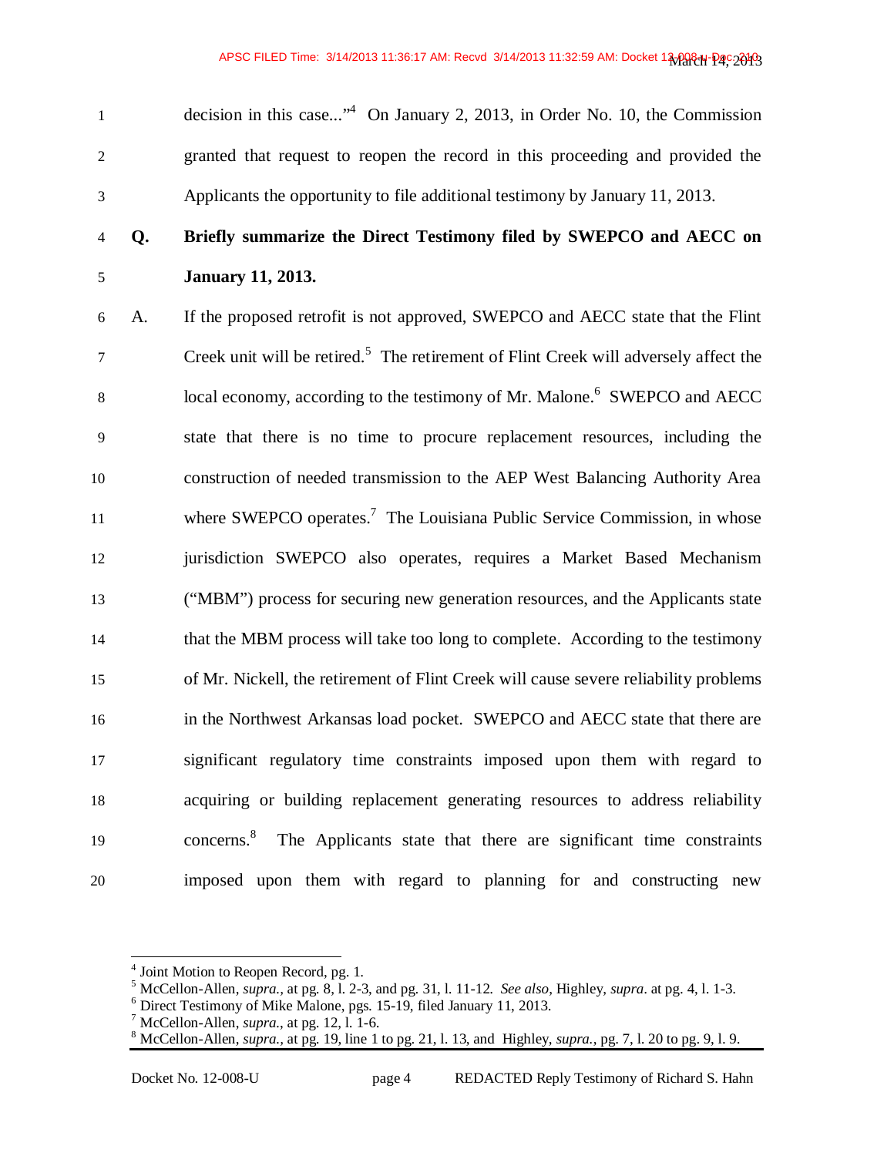decision in this case..."<sup>4</sup> On January 2, 2013, in Order No. 10, the Commission granted that request to reopen the record in this proceeding and provided the Applicants the opportunity to file additional testimony by January 11, 2013.

## **Q. Briefly summarize the Direct Testimony filed by SWEPCO and AECC on January 11, 2013.**

A. If the proposed retrofit is not approved, SWEPCO and AECC state that the Flint 7 Creek unit will be retired.<sup>5</sup> The retirement of Flint Creek will adversely affect the 8 local economy, according to the testimony of Mr. Malone.<sup>6</sup> SWEPCO and AECC state that there is no time to procure replacement resources, including the construction of needed transmission to the AEP West Balancing Authority Area 11 where  $\text{SWEPCO}$  operates.<sup>7</sup> The Louisiana Public Service Commission, in whose jurisdiction SWEPCO also operates, requires a Market Based Mechanism ("MBM") process for securing new generation resources, and the Applicants state that the MBM process will take too long to complete. According to the testimony of Mr. Nickell, the retirement of Flint Creek will cause severe reliability problems in the Northwest Arkansas load pocket. SWEPCO and AECC state that there are significant regulatory time constraints imposed upon them with regard to acquiring or building replacement generating resources to address reliability 19 concerns.<sup>8</sup> The Applicants state that there are significant time constraints imposed upon them with regard to planning for and constructing new

<sup>&</sup>lt;sup>4</sup> Joint Motion to Reopen Record, pg. 1.

 $^5$  McCellon-Allen, *supra.*, at pg. 8, l. 2-3, and pg. 31, l. 11-12. *See also*, Highley, *supra*. at pg. 4, l. 1-3.

Direct Testimony of Mike Malone, pgs. 15-19, filed January 11, 2013.

 McCellon-Allen, *supra.*, at pg. 12, l. 1-6.

 $8 \text{ McCellon-Allen}, \text{supra.}, \text{at pg.} 19, \text{line 1 to pg.} 21, 1.13, \text{and, Highley, } \text{supra.}, \text{pg. } 7, 1.20 \text{ to pg.} 9, 1.9.$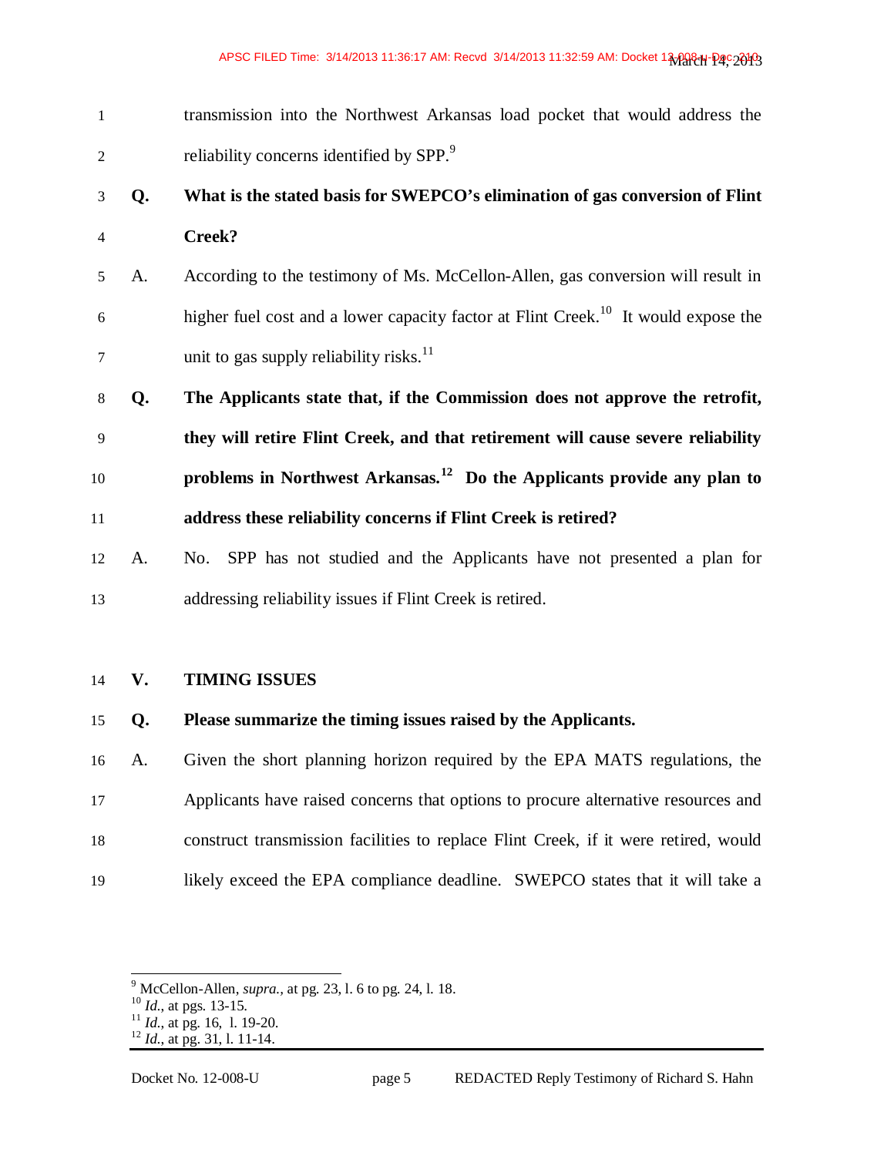transmission into the Northwest Arkansas load pocket that would address the reliability concerns identified by SPP.<sup>9</sup> 

## **Q. What is the stated basis for SWEPCO's elimination of gas conversion of Flint Creek?**

- A. According to the testimony of Ms. McCellon-Allen, gas conversion will result in higher fuel cost and a lower capacity factor at Flint Creek.<sup>10</sup> It would expose the  $\frac{1}{7}$  unit to gas supply reliability risks.<sup>11</sup>
- **Q. The Applicants state that, if the Commission does not approve the retrofit, they will retire Flint Creek, and that retirement will cause severe reliability**  10 **problems in Northwest Arkansas.**<sup>12</sup> Do the Applicants provide any plan to **address these reliability concerns if Flint Creek is retired?**
- A. No. SPP has not studied and the Applicants have not presented a plan for addressing reliability issues if Flint Creek is retired.

### **V. TIMING ISSUES**

### **Q. Please summarize the timing issues raised by the Applicants.**

A. Given the short planning horizon required by the EPA MATS regulations, the Applicants have raised concerns that options to procure alternative resources and construct transmission facilities to replace Flint Creek, if it were retired, would likely exceed the EPA compliance deadline. SWEPCO states that it will take a

McCellon-Allen, *supra.,* at pg. 23, l. 6 to pg. 24, l. 18.

*Id.*, at pgs. 13-15.

 $\frac{11}{10}$  *Id.*, at pg. 16, 1. 19-20.

*Id.*, at pg. 31, l. 11-14.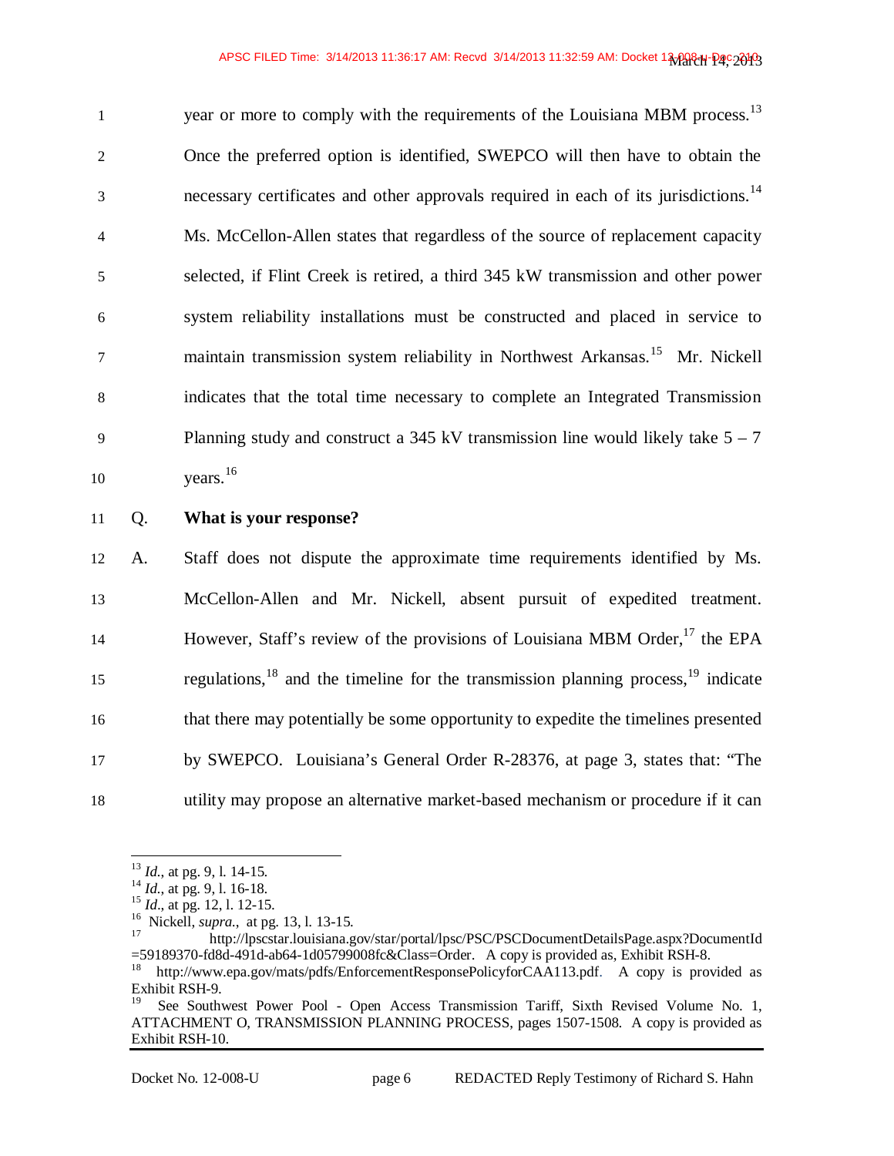$y^2$  year or more to comply with the requirements of the Louisiana MBM process.<sup>13</sup> 2 Once the preferred option is identified, SWEPCO will then have to obtain the necessary certificates and other approvals required in each of its jurisdictions.<sup>14</sup> 4 Ms. McCellon-Allen states that regardless of the source of replacement capacity 5 selected, if Flint Creek is retired, a third 345 kW transmission and other power 6 system reliability installations must be constructed and placed in service to 7 maintain transmission system reliability in Northwest Arkansas.<sup>15</sup> Mr. Nickell 8 indicates that the total time necessary to complete an Integrated Transmission 9 Planning study and construct a 345 kV transmission line would likely take  $5 - 7$  $\mu$  10 vears.<sup>16</sup>

11 Q. **What is your response?**

A. Staff does not dispute the approximate time requirements identified by Ms. McCellon-Allen and Mr. Nickell, absent pursuit of expedited treatment. However, Staff's review of the provisions of Louisiana MBM Order, $^{17}$  the EPA regulations, $^{18}$  and the timeline for the transmission planning process, $^{19}$  indicate that there may potentially be some opportunity to expedite the timelines presented by SWEPCO. Louisiana's General Order R-28376, at page 3, states that: "The utility may propose an alternative market-based mechanism or procedure if it can

<sup>13</sup> *Id.*, at pg. 9, l. 14-15.

<sup>14</sup> *Id.*, at pg. 9, l. 16-18.

<sup>15</sup> *Id*., at pg. 12, l. 12-15.

<sup>&</sup>lt;sup>16</sup> Nickell, *supra.*, at pg. 13, l. 13-15.

<sup>17</sup> http://lpscstar.louisiana.gov/star/portal/lpsc/PSC/PSCDocumentDetailsPage.aspx?DocumentId  $=$ 59189370-fd8d-491d-ab64-1d05799008fc&Class=Order. A copy is provided as, Exhibit RSH-8.

<sup>18</sup> http://www.epa.gov/mats/pdfs/EnforcementResponsePolicyforCAA113.pdf. A copy is provided as Exhibit RSH-9.

<sup>19</sup> See Southwest Power Pool - Open Access Transmission Tariff, Sixth Revised Volume No. 1, ATTACHMENT O, TRANSMISSION PLANNING PROCESS, pages 1507-1508. A copy is provided as Exhibit RSH-10.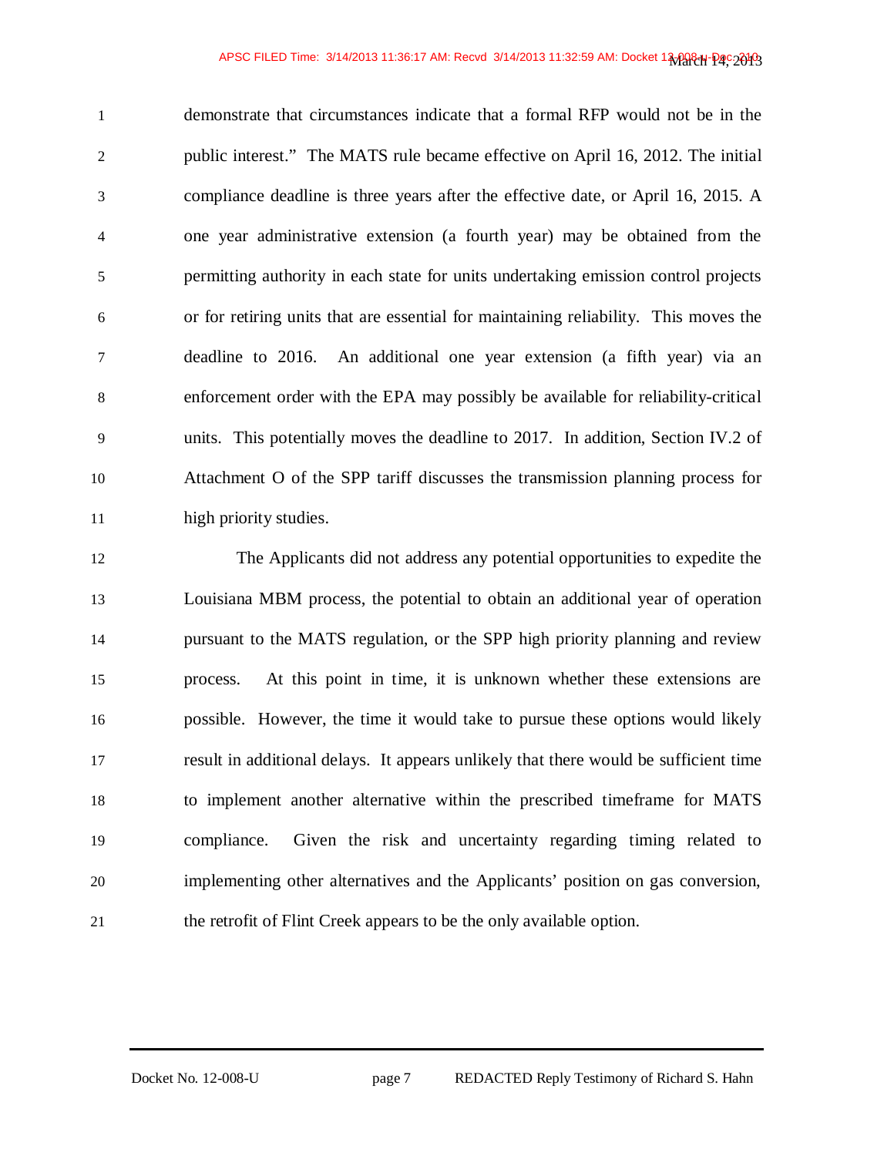demonstrate that circumstances indicate that a formal RFP would not be in the public interest." The MATS rule became effective on April 16, 2012. The initial compliance deadline is three years after the effective date, or April 16, 2015. A one year administrative extension (a fourth year) may be obtained from the permitting authority in each state for units undertaking emission control projects or for retiring units that are essential for maintaining reliability. This moves the deadline to 2016. An additional one year extension (a fifth year) via an enforcement order with the EPA may possibly be available for reliability-critical units. This potentially moves the deadline to 2017. In addition, Section IV.2 of Attachment O of the SPP tariff discusses the transmission planning process for high priority studies.

The Applicants did not address any potential opportunities to expedite the Louisiana MBM process, the potential to obtain an additional year of operation pursuant to the MATS regulation, or the SPP high priority planning and review process. At this point in time, it is unknown whether these extensions are possible. However, the time it would take to pursue these options would likely result in additional delays. It appears unlikely that there would be sufficient time to implement another alternative within the prescribed timeframe for MATS compliance. Given the risk and uncertainty regarding timing related to implementing other alternatives and the Applicants' position on gas conversion, the retrofit of Flint Creek appears to be the only available option.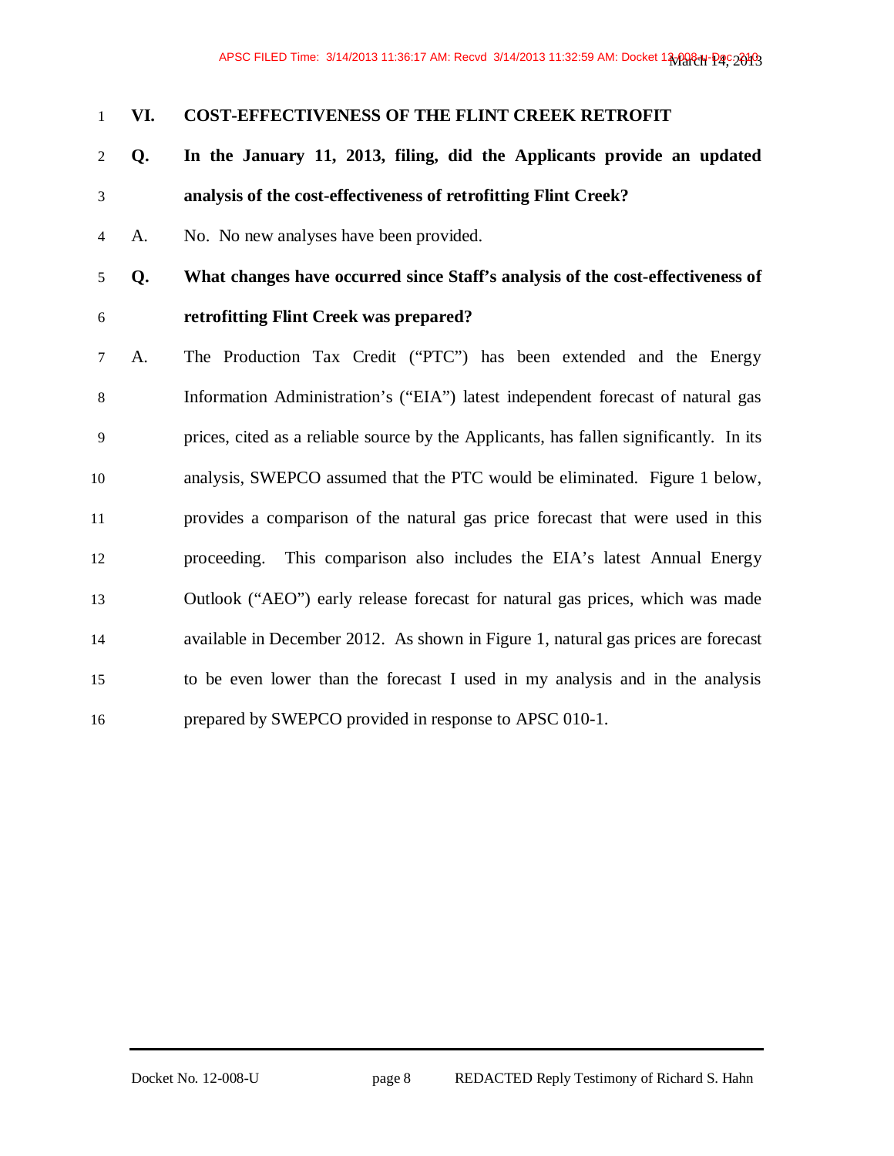### **VI. COST-EFFECTIVENESS OF THE FLINT CREEK RETROFIT**

- **Q. In the January 11, 2013, filing, did the Applicants provide an updated analysis of the cost-effectiveness of retrofitting Flint Creek?**
- A. No. No new analyses have been provided.
- **Q. What changes have occurred since Staff's analysis of the cost-effectiveness of retrofitting Flint Creek was prepared?**
- A. The Production Tax Credit ("PTC") has been extended and the Energy Information Administration's ("EIA") latest independent forecast of natural gas prices, cited as a reliable source by the Applicants, has fallen significantly. In its analysis, SWEPCO assumed that the PTC would be eliminated. Figure 1 below, provides a comparison of the natural gas price forecast that were used in this proceeding. This comparison also includes the EIA's latest Annual Energy Outlook ("AEO") early release forecast for natural gas prices, which was made available in December 2012. As shown in Figure 1, natural gas prices are forecast to be even lower than the forecast I used in my analysis and in the analysis prepared by SWEPCO provided in response to APSC 010-1.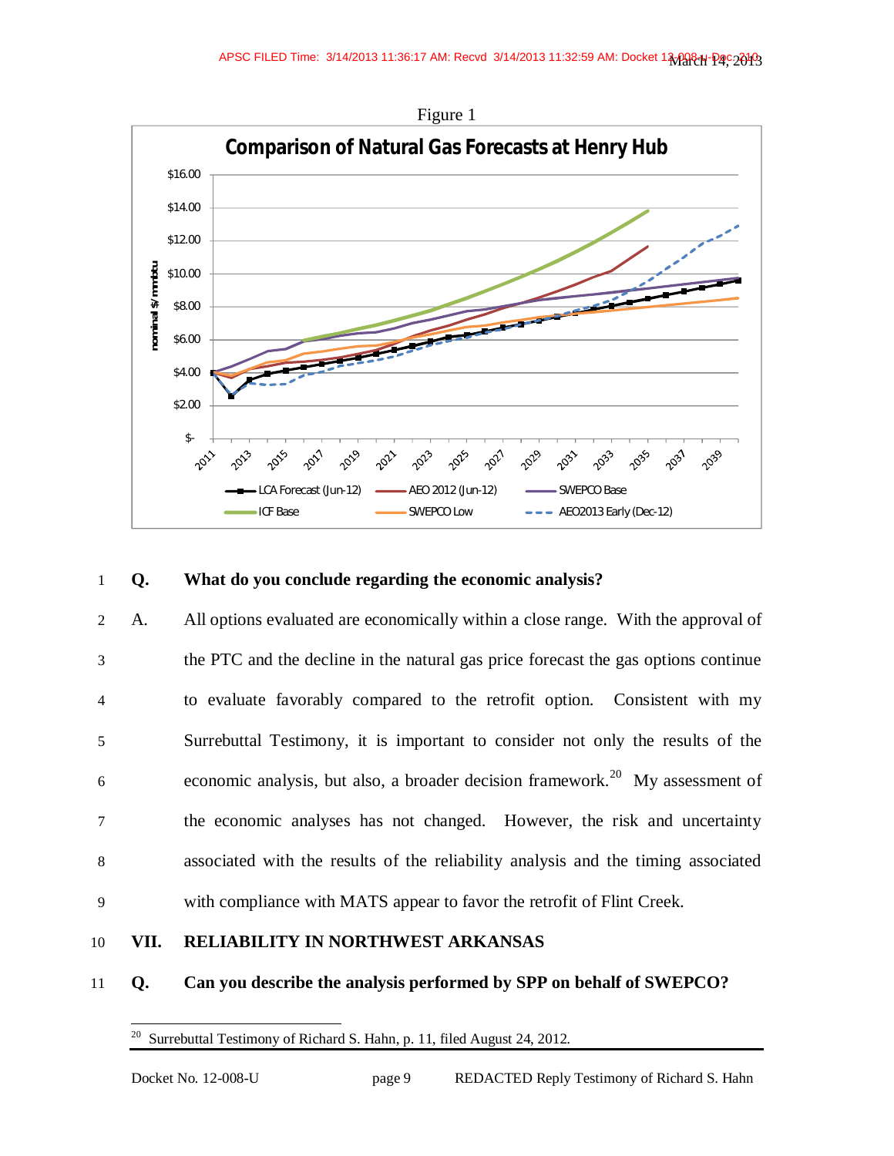

### 1 **Q. What do you conclude regarding the economic analysis?**

A. All options evaluated are economically within a close range. With the approval of the PTC and the decline in the natural gas price forecast the gas options continue to evaluate favorably compared to the retrofit option. Consistent with my Surrebuttal Testimony, it is important to consider not only the results of the  $\epsilon$  economic analysis, but also, a broader decision framework.<sup>20</sup> My assessment of the economic analyses has not changed. However, the risk and uncertainty associated with the results of the reliability analysis and the timing associated with compliance with MATS appear to favor the retrofit of Flint Creek.

### 10 **VII. RELIABILITY IN NORTHWEST ARKANSAS**

### 11 **Q. Can you describe the analysis performed by SPP on behalf of SWEPCO?**

<sup>20</sup> Surrebuttal Testimony of Richard S. Hahn, p. 11, filed August 24, 2012.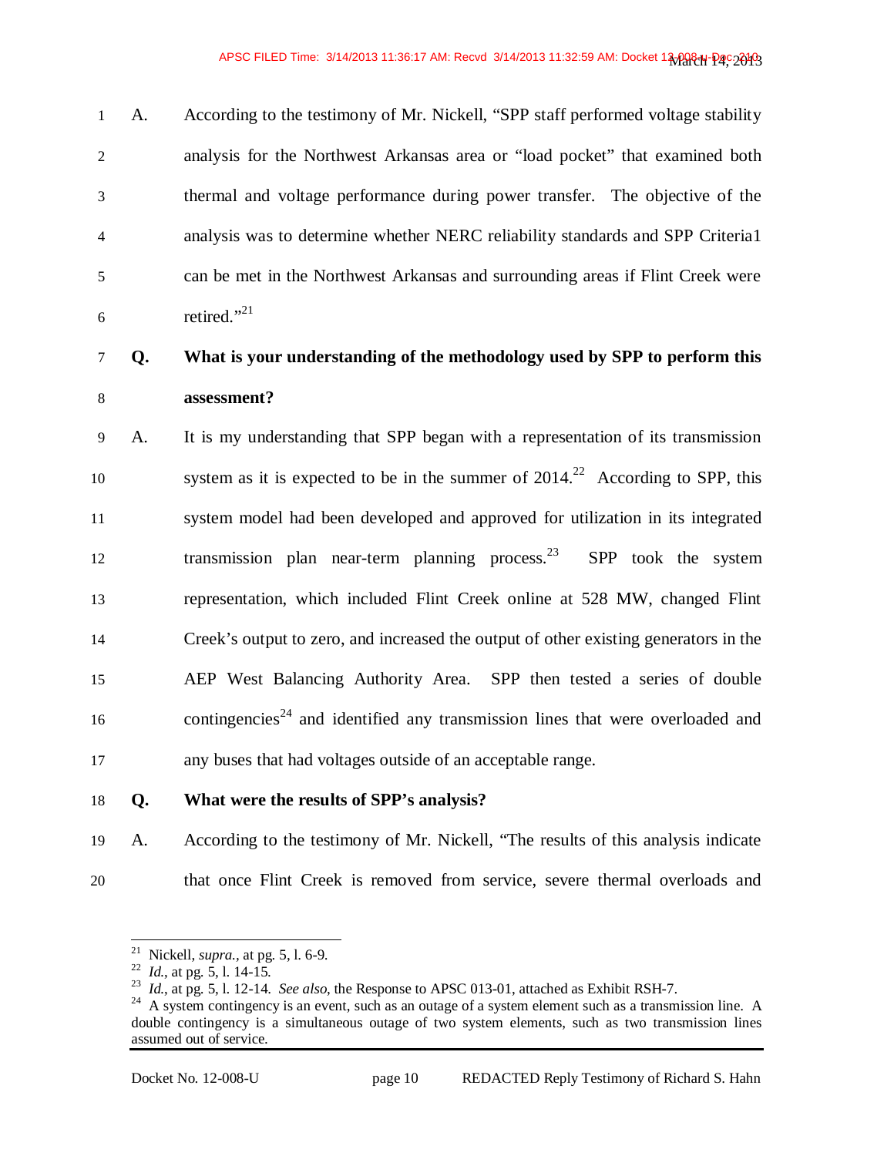A. According to the testimony of Mr. Nickell, "SPP staff performed voltage stability analysis for the Northwest Arkansas area or "load pocket" that examined both thermal and voltage performance during power transfer. The objective of the analysis was to determine whether NERC reliability standards and SPP Criteria1 can be met in the Northwest Arkansas and surrounding areas if Flint Creek were  $\epsilon$  retired."<sup>21</sup>

### **Q. What is your understanding of the methodology used by SPP to perform this assessment?**

A. It is my understanding that SPP began with a representation of its transmission system as it is expected to be in the summer of  $2014<sup>22</sup>$  According to SPP, this system model had been developed and approved for utilization in its integrated 12 transmission plan near-term planning process.<sup>23</sup> SPP took the system representation, which included Flint Creek online at 528 MW, changed Flint Creek's output to zero, and increased the output of other existing generators in the AEP West Balancing Authority Area. SPP then tested a series of double 16 contingencies<sup>24</sup> and identified any transmission lines that were overloaded and any buses that had voltages outside of an acceptable range.

### **Q. What were the results of SPP's analysis?**

A. According to the testimony of Mr. Nickell, "The results of this analysis indicate that once Flint Creek is removed from service, severe thermal overloads and

Nickell, *supra.,* at pg. 5, l. 6-9.

<sup>&</sup>lt;sup>22</sup> *Id.*, at pg. 5, 1. 14-15.

*Id.*, at pg. 5, l. 12-14. *See also*, the Response to APSC 013-01, attached as Exhibit RSH-7.

 $^{24}$  A system contingency is an event, such as an outage of a system element such as a transmission line. A double contingency is a simultaneous outage of two system elements, such as two transmission lines assumed out of service.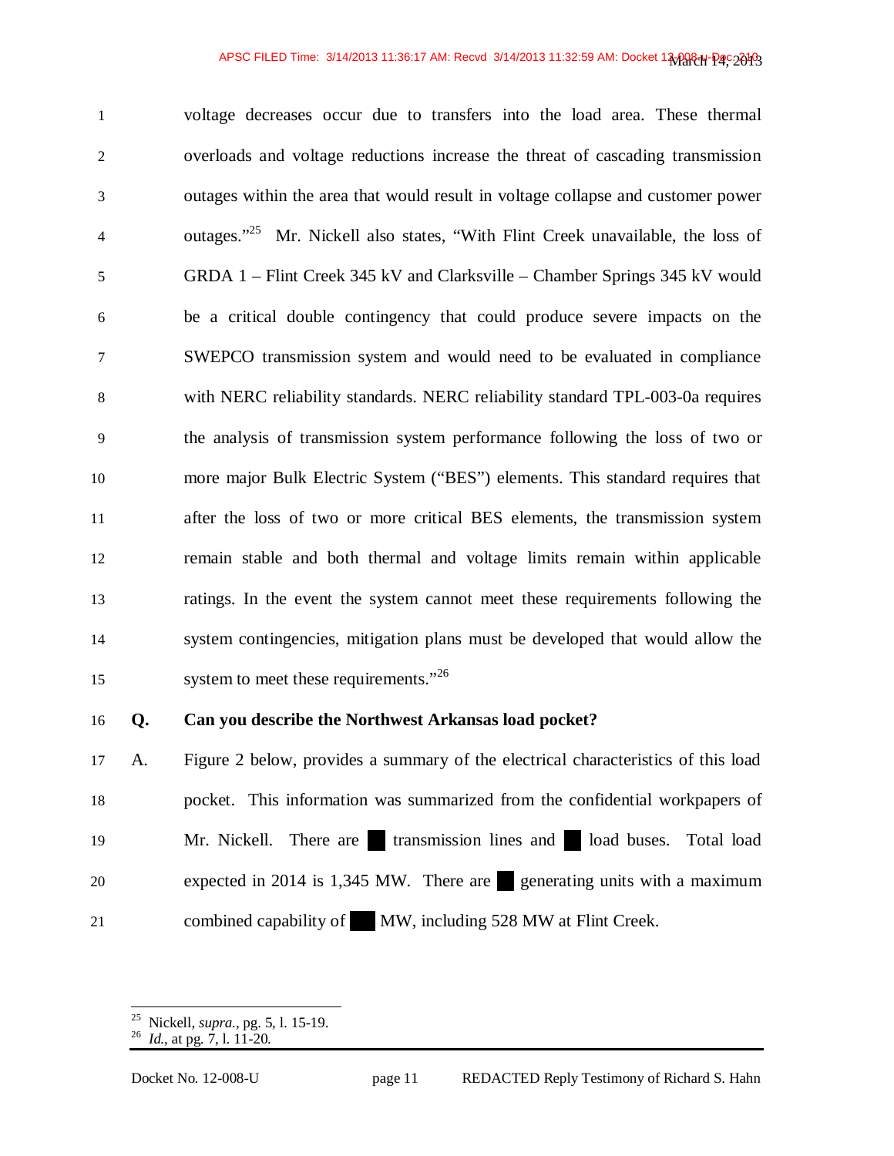voltage decreases occur due to transfers into the load area. These thermal overloads and voltage reductions increase the threat of cascading transmission outages within the area that would result in voltage collapse and customer power 4 outages.<sup> $25$ </sup> Mr. Nickell also states, "With Flint Creek unavailable, the loss of GRDA 1 – Flint Creek 345 kV and Clarksville – Chamber Springs 345 kV would be a critical double contingency that could produce severe impacts on the SWEPCO transmission system and would need to be evaluated in compliance with NERC reliability standards. NERC reliability standard TPL-003-0a requires the analysis of transmission system performance following the loss of two or more major Bulk Electric System ("BES") elements. This standard requires that after the loss of two or more critical BES elements, the transmission system remain stable and both thermal and voltage limits remain within applicable ratings. In the event the system cannot meet these requirements following the system contingencies, mitigation plans must be developed that would allow the 15 system to meet these requirements."<sup>26</sup>

### **Q. Can you describe the Northwest Arkansas load pocket?**

A. Figure 2 below, provides a summary of the electrical characteristics of this load pocket. This information was summarized from the confidential workpapers of 19 Mr. Nickell. There are transmission lines and load buses. Total load 20 expected in 2014 is 1,345 MW. There are generating units with a maximum 21 combined capability of MW, including 528 MW at Flint Creek.

 $\overline{a}$ 

Nickell, *supra.,* pg. 5, l. 15-19.

*Id.*, at pg. 7, l. 11-20.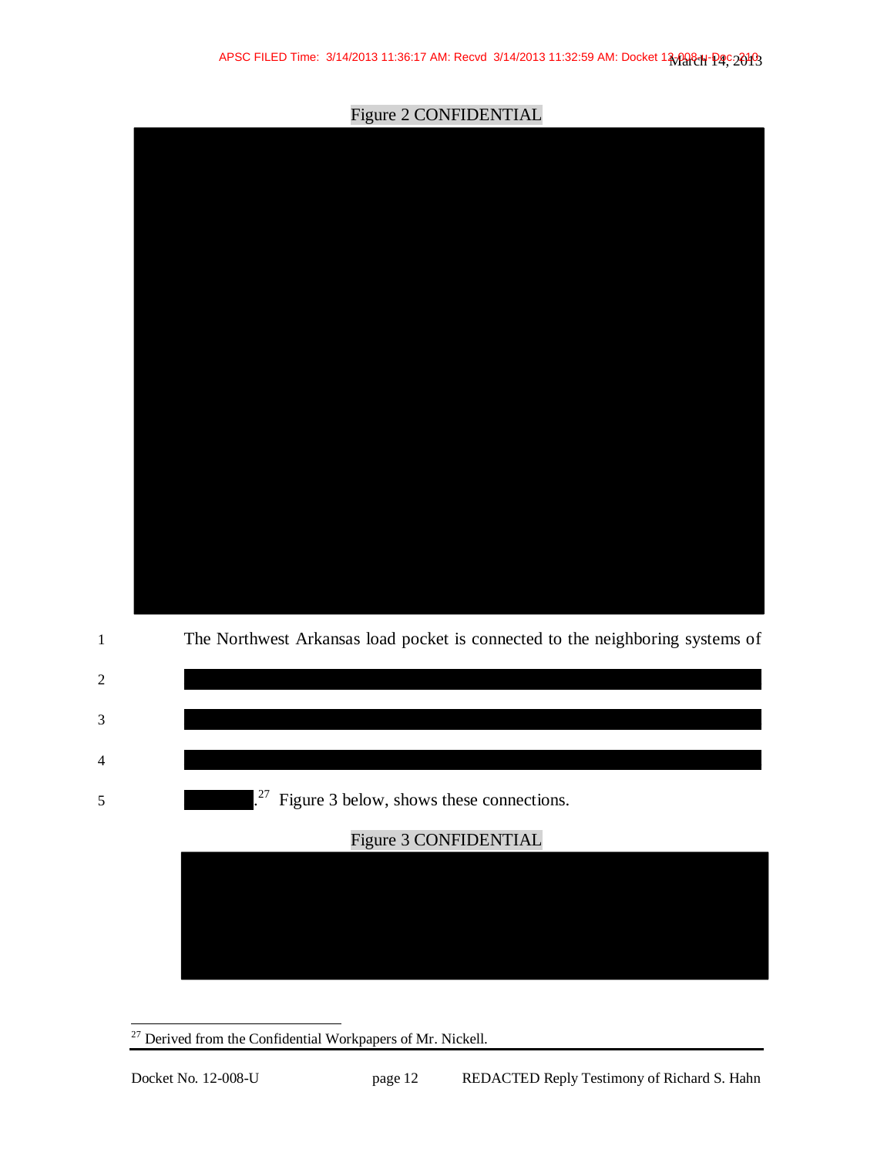

Figure 2 CONFIDENTIAL



 $\overline{a}$  $27$  Derived from the Confidential Workpapers of Mr. Nickell.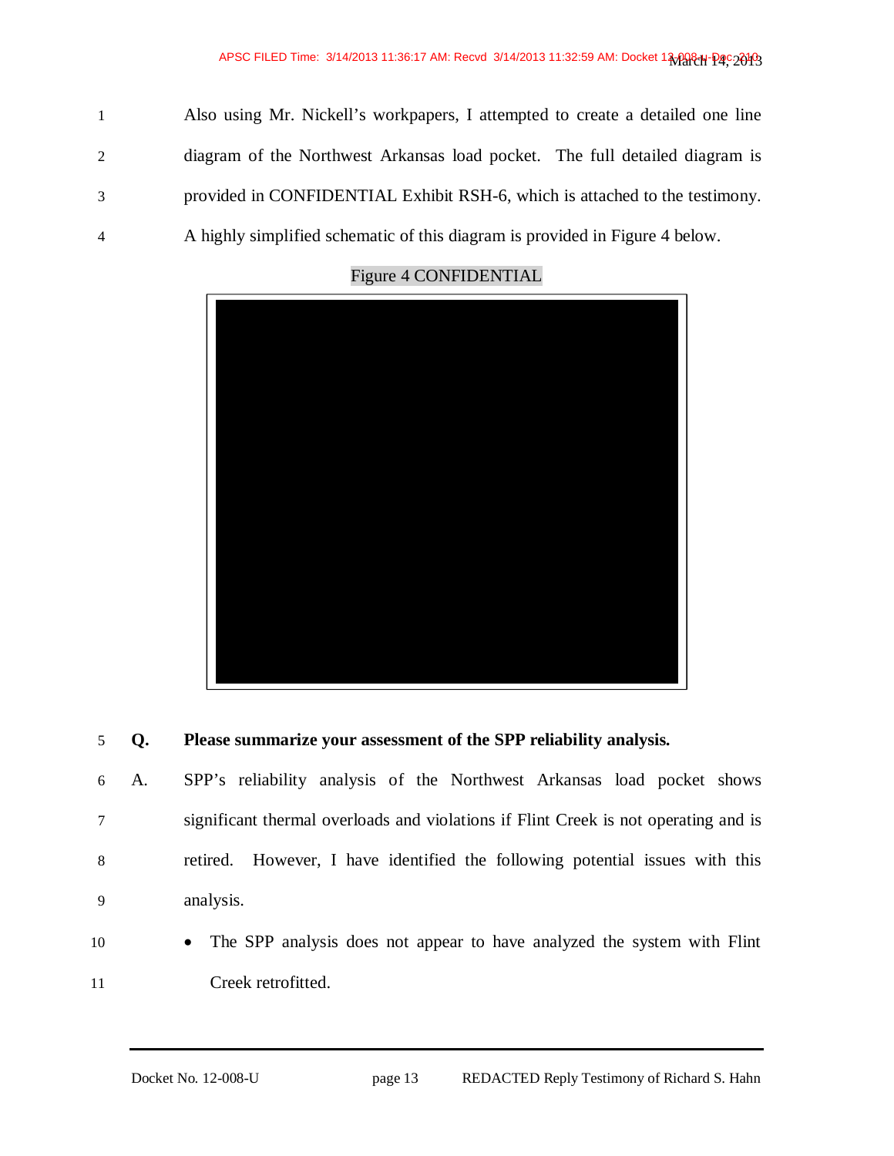Also using Mr. Nickell's workpapers, I attempted to create a detailed one line diagram of the Northwest Arkansas load pocket. The full detailed diagram is provided in CONFIDENTIAL Exhibit RSH-6, which is attached to the testimony. A highly simplified schematic of this diagram is provided in Figure 4 below.



### Figure 4 CONFIDENTIAL

### **Q. Please summarize your assessment of the SPP reliability analysis.**

A. SPP's reliability analysis of the Northwest Arkansas load pocket shows significant thermal overloads and violations if Flint Creek is not operating and is retired. However, I have identified the following potential issues with this analysis.

10 • The SPP analysis does not appear to have analyzed the system with Flint Creek retrofitted.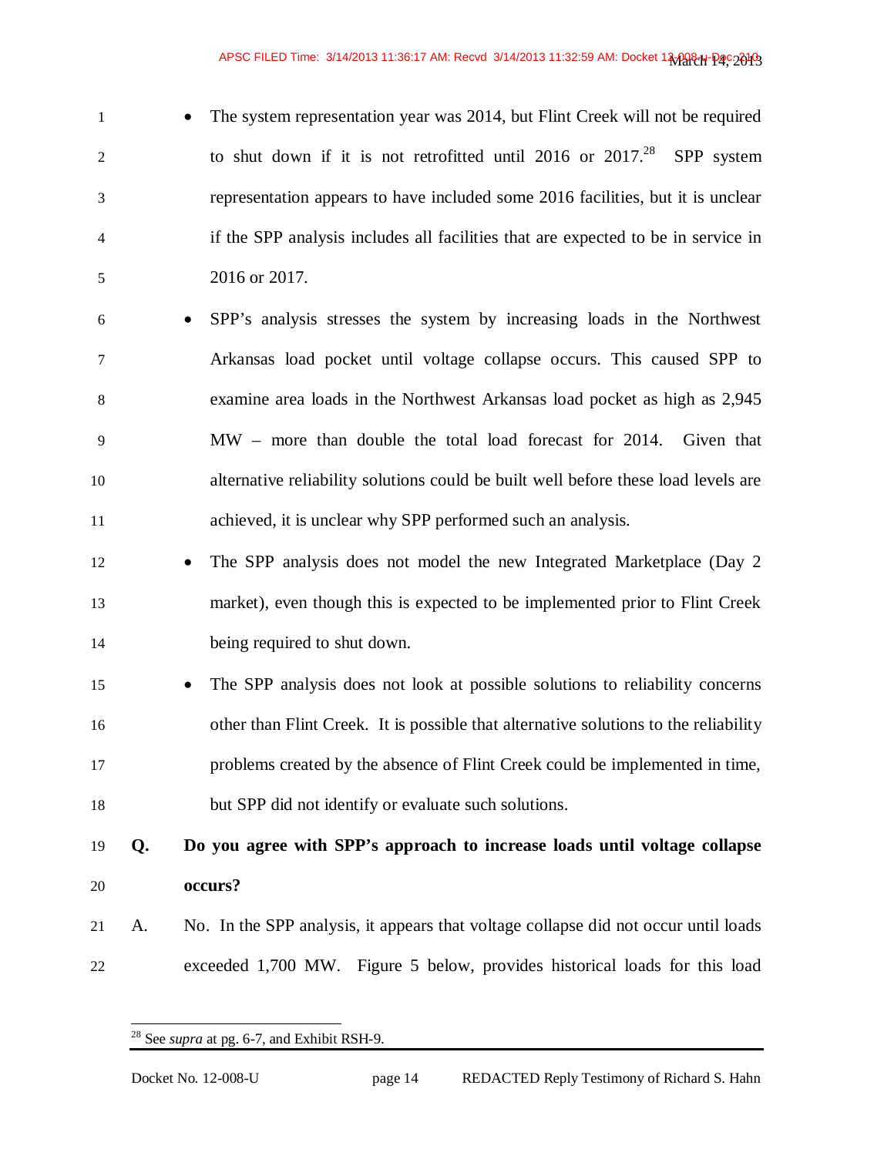- 1 **b** The system representation year was 2014, but Flint Creek will not be required to shut down if it is not retrofitted until 2016 or  $2017<sup>28</sup>$  SPP system representation appears to have included some 2016 facilities, but it is unclear if the SPP analysis includes all facilities that are expected to be in service in 2016 or 2017.
- x SPP's analysis stresses the system by increasing loads in the Northwest Arkansas load pocket until voltage collapse occurs. This caused SPP to examine area loads in the Northwest Arkansas load pocket as high as 2,945 MW – more than double the total load forecast for 2014. Given that alternative reliability solutions could be built well before these load levels are achieved, it is unclear why SPP performed such an analysis.
- 12 The SPP analysis does not model the new Integrated Marketplace (Day 2) market), even though this is expected to be implemented prior to Flint Creek being required to shut down.
- x The SPP analysis does not look at possible solutions to reliability concerns other than Flint Creek. It is possible that alternative solutions to the reliability problems created by the absence of Flint Creek could be implemented in time, but SPP did not identify or evaluate such solutions.

## **Q. Do you agree with SPP's approach to increase loads until voltage collapse occurs?**

A. No. In the SPP analysis, it appears that voltage collapse did not occur until loads exceeded 1,700 MW. Figure 5 below, provides historical loads for this load

<sup>-</sup>See *supra* at pg. 6-7, and Exhibit RSH-9.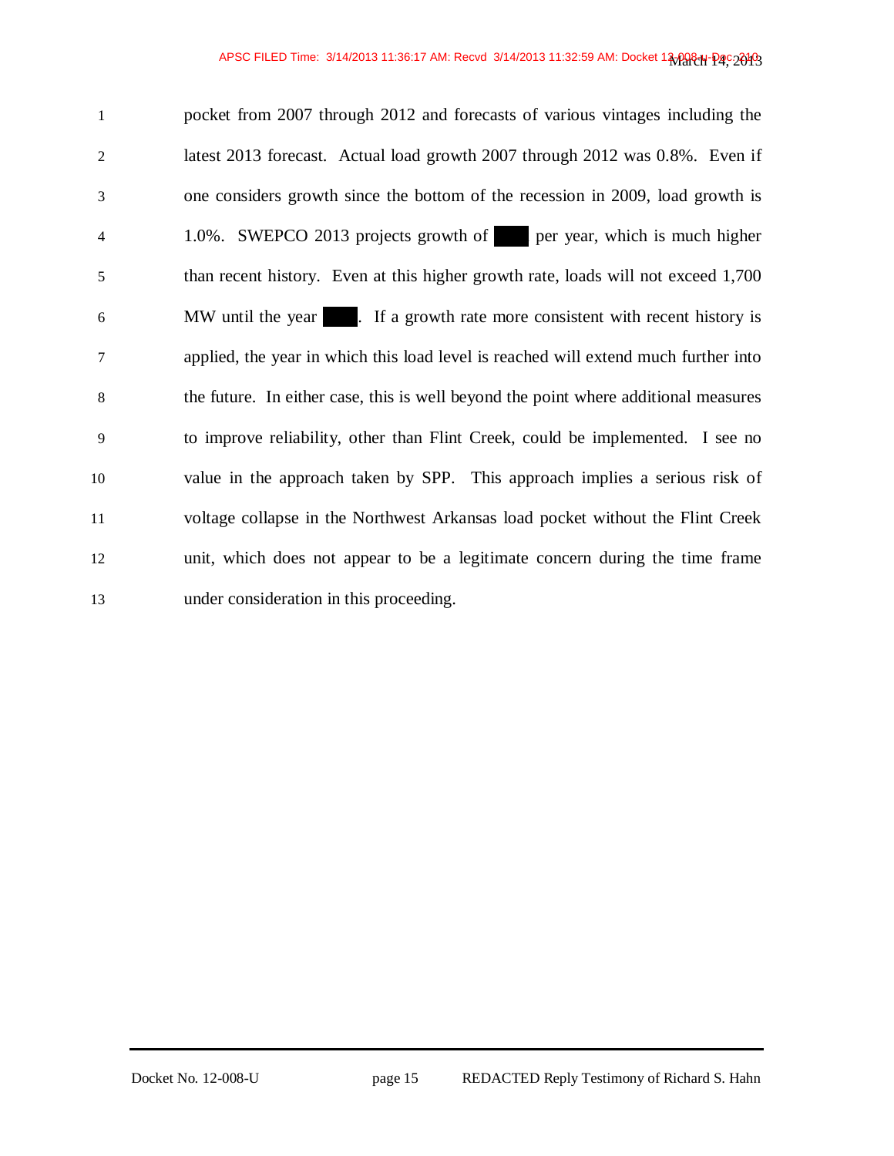| $\mathbf{1}$   | pocket from 2007 through 2012 and forecasts of various vintages including the       |
|----------------|-------------------------------------------------------------------------------------|
| $\overline{2}$ | latest 2013 forecast. Actual load growth 2007 through 2012 was 0.8%. Even if        |
| 3              | one considers growth since the bottom of the recession in 2009, load growth is      |
| $\overline{4}$ | 1.0%. SWEPCO 2013 projects growth of per year, which is much higher                 |
| 5              | than recent history. Even at this higher growth rate, loads will not exceed 1,700   |
| 6              | MW until the year 1. If a growth rate more consistent with recent history is        |
| 7              | applied, the year in which this load level is reached will extend much further into |
| 8              | the future. In either case, this is well beyond the point where additional measures |
| $\mathbf{Q}$   | to improve reliability, other than Flint Creek, could be implemented. I see no      |
| 10             | value in the approach taken by SPP. This approach implies a serious risk of         |
| 11             | voltage collapse in the Northwest Arkansas load pocket without the Flint Creek      |
| 12             | unit, which does not appear to be a legitimate concern during the time frame        |
| 13             | under consideration in this proceeding.                                             |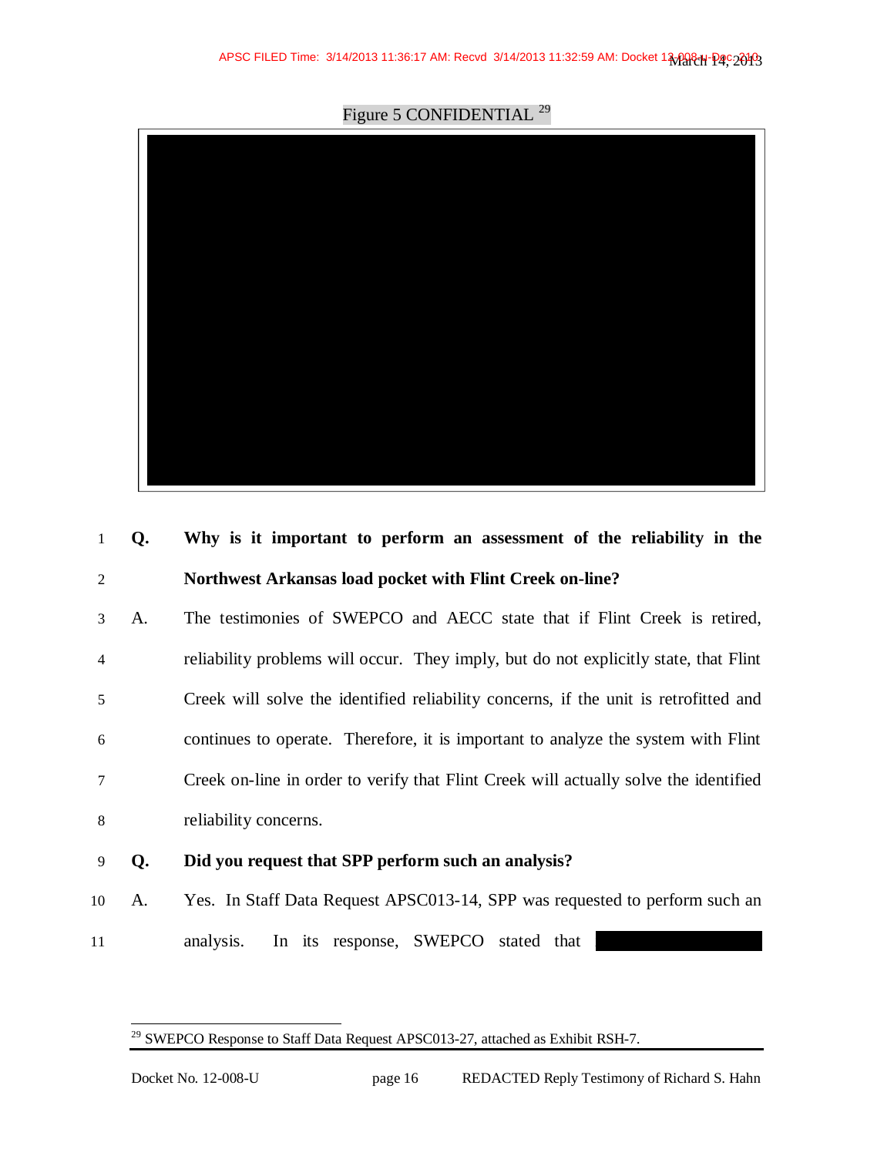Figure 5 CONFIDENTIAL<sup>29</sup>



| 1              | Q. | Why is it important to perform an assessment of the reliability in the               |
|----------------|----|--------------------------------------------------------------------------------------|
| 2              |    | Northwest Arkansas load pocket with Flint Creek on-line?                             |
| 3              | A. | The testimonies of SWEPCO and AECC state that if Flint Creek is retired,             |
| $\overline{4}$ |    | reliability problems will occur. They imply, but do not explicitly state, that Flint |
| 5              |    | Creek will solve the identified reliability concerns, if the unit is retrofitted and |
| 6              |    | continues to operate. Therefore, it is important to analyze the system with Flint    |
| 7              |    | Creek on-line in order to verify that Flint Creek will actually solve the identified |
| 8              |    | reliability concerns.                                                                |
| 9              | Q. | Did you request that SPP perform such an analysis?                                   |
| 10             | A. | Yes. In Staff Data Request APSC013-14, SPP was requested to perform such an          |
| 11             |    | In its response, SWEPCO stated that<br>analysis.                                     |

 $\overline{a}$ 

SWEPCO Response to Staff Data Request APSC013-27, attached as Exhibit RSH-7.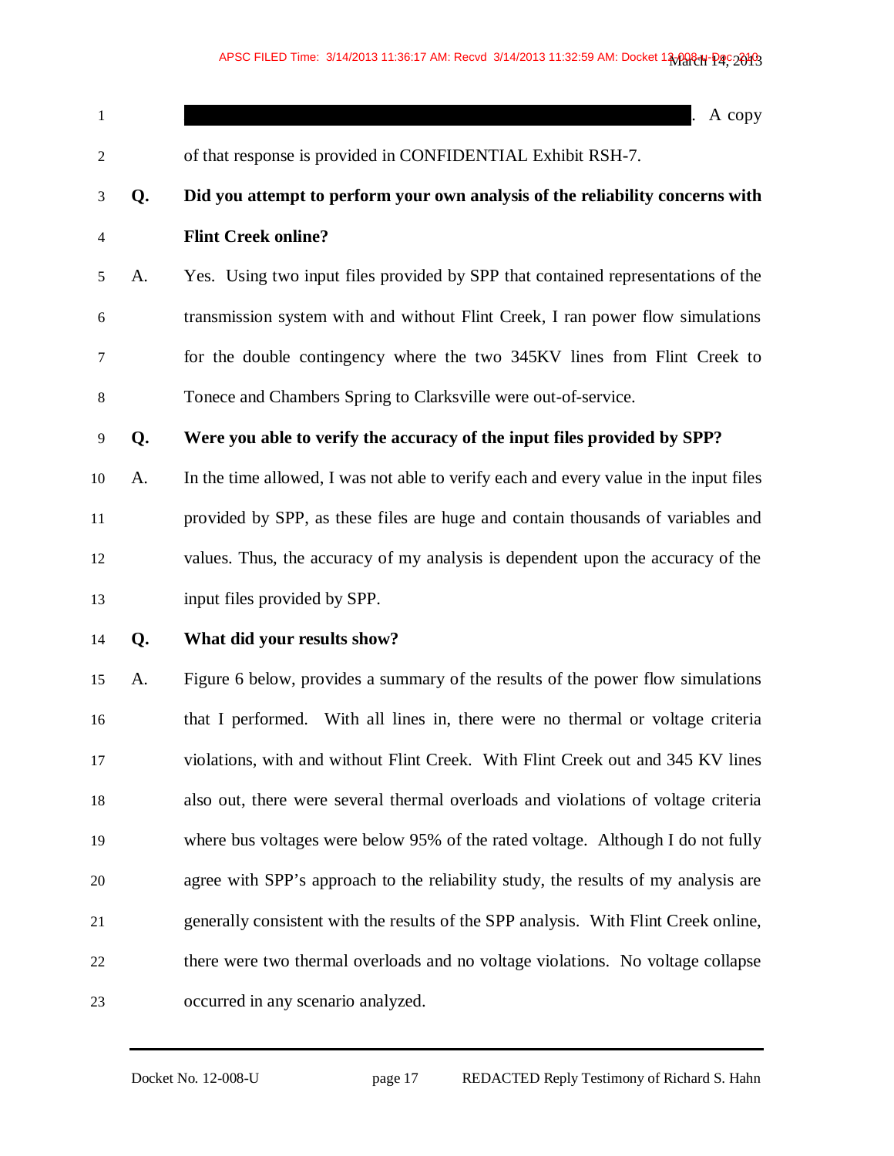| $\mathbf{1}$   |    | A copy                                                                                |
|----------------|----|---------------------------------------------------------------------------------------|
| $\overline{c}$ |    | of that response is provided in CONFIDENTIAL Exhibit RSH-7.                           |
| 3              | Q. | Did you attempt to perform your own analysis of the reliability concerns with         |
| $\overline{4}$ |    | <b>Flint Creek online?</b>                                                            |
| 5              | A. | Yes. Using two input files provided by SPP that contained representations of the      |
| 6              |    | transmission system with and without Flint Creek, I ran power flow simulations        |
| 7              |    | for the double contingency where the two 345KV lines from Flint Creek to              |
| 8              |    | Tonece and Chambers Spring to Clarksville were out-of-service.                        |
| $\overline{9}$ | Q. | Were you able to verify the accuracy of the input files provided by SPP?              |
| 10             | A. | In the time allowed, I was not able to verify each and every value in the input files |
| 11             |    | provided by SPP, as these files are huge and contain thousands of variables and       |
| 12             |    | values. Thus, the accuracy of my analysis is dependent upon the accuracy of the       |
| 13             |    | input files provided by SPP.                                                          |
| 14             | Q. | What did your results show?                                                           |
| 15             | A. | Figure 6 below, provides a summary of the results of the power flow simulations       |
| 16             |    | that I performed. With all lines in, there were no thermal or voltage criteria        |
| 17             |    | violations, with and without Flint Creek. With Flint Creek out and 345 KV lines       |
| 18             |    | also out, there were several thermal overloads and violations of voltage criteria     |
| 19             |    | where bus voltages were below 95% of the rated voltage. Although I do not fully       |
| 20             |    | agree with SPP's approach to the reliability study, the results of my analysis are    |
| 21             |    | generally consistent with the results of the SPP analysis. With Flint Creek online,   |
| 22             |    | there were two thermal overloads and no voltage violations. No voltage collapse       |
| 23             |    | occurred in any scenario analyzed.                                                    |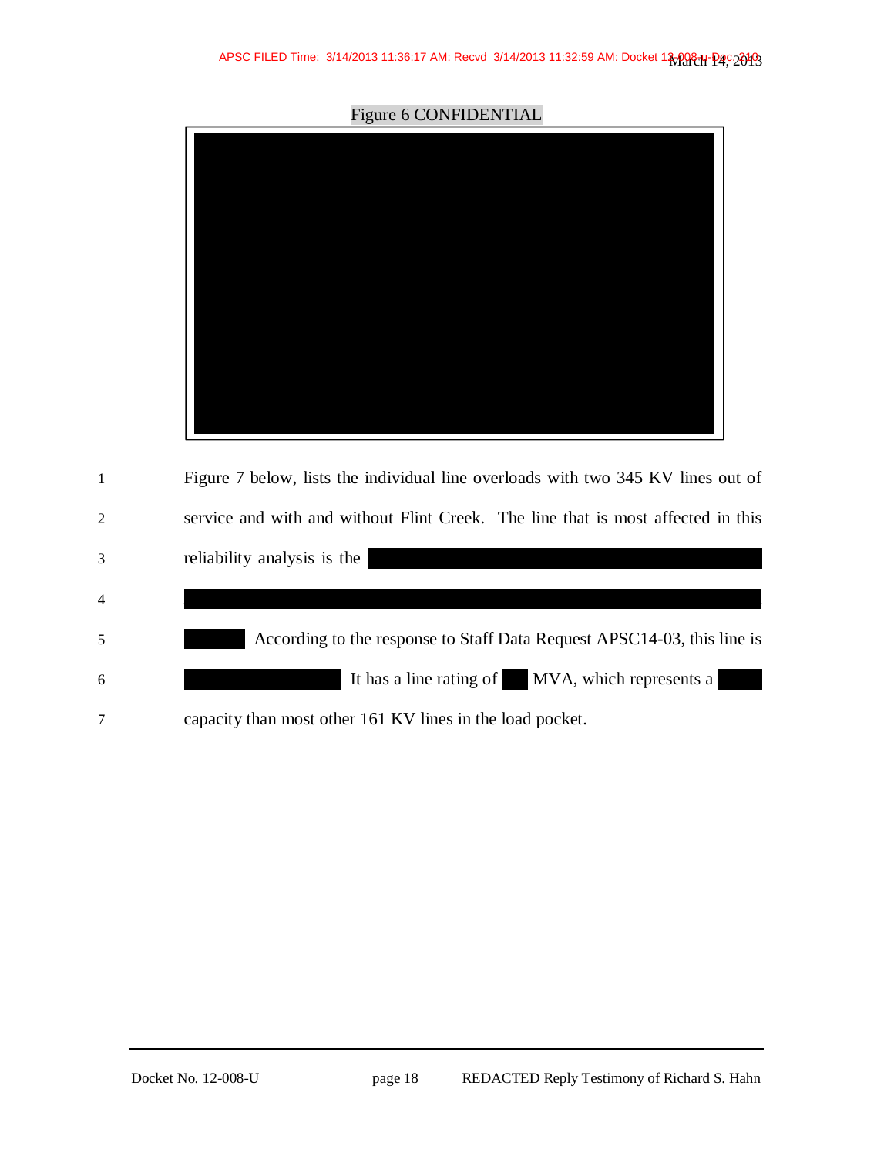Figure 6 CONFIDENTIAL

| $\mathbf{1}$   | Figure 7 below, lists the individual line overloads with two 345 KV lines out of |
|----------------|----------------------------------------------------------------------------------|
| 2              | service and with and without Flint Creek. The line that is most affected in this |
| 3              | reliability analysis is the                                                      |
| $\overline{4}$ |                                                                                  |
| 5              | According to the response to Staff Data Request APSC14-03, this line is          |
| 6              | It has a line rating of MVA, which represents a                                  |
| 7              | capacity than most other 161 KV lines in the load pocket.                        |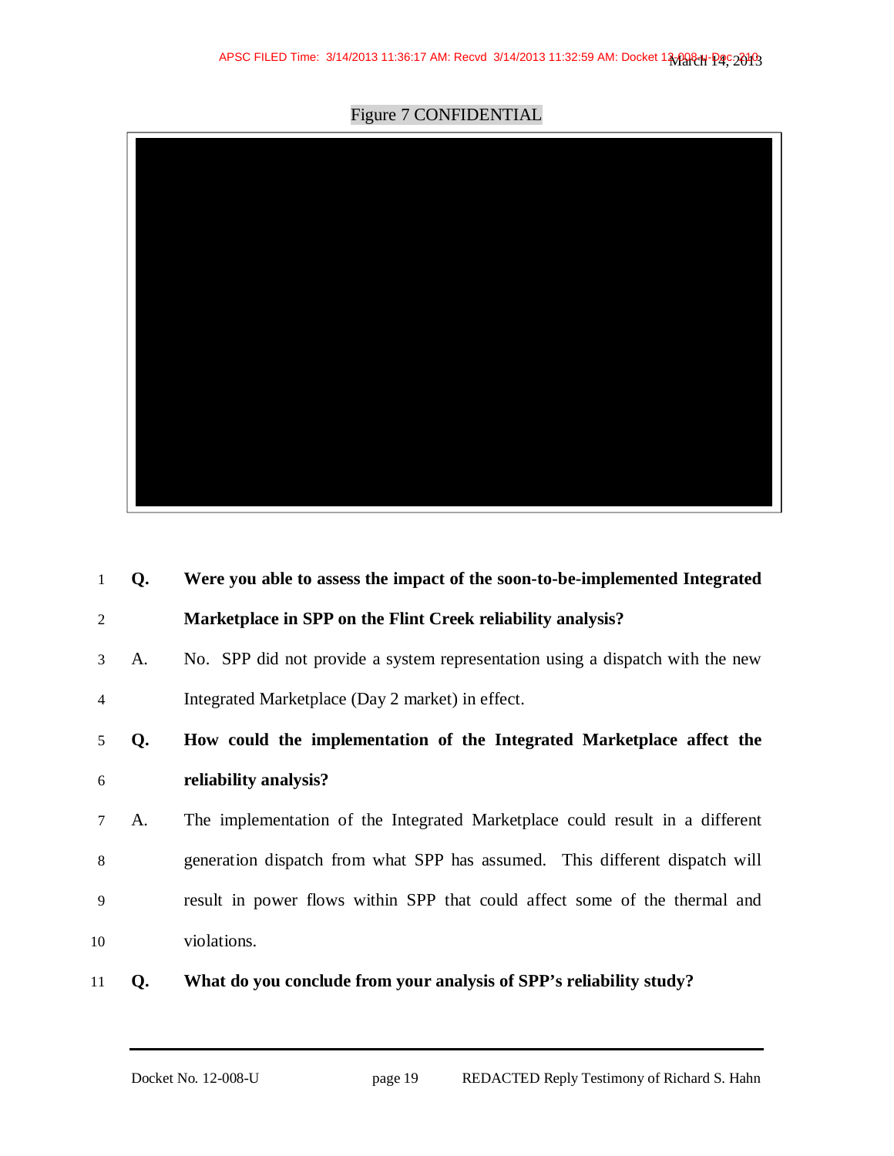Figure 7 CONFIDENTIAL



| 1  | Q. | Were you able to assess the impact of the soon-to-be-implemented Integrated   |
|----|----|-------------------------------------------------------------------------------|
| 2  |    | Marketplace in SPP on the Flint Creek reliability analysis?                   |
| 3  | A. | No. SPP did not provide a system representation using a dispatch with the new |
| 4  |    | Integrated Marketplace (Day 2 market) in effect.                              |
| 5  | Q. | How could the implementation of the Integrated Marketplace affect the         |
| 6  |    | reliability analysis?                                                         |
| 7  | A. | The implementation of the Integrated Marketplace could result in a different  |
| 8  |    | generation dispatch from what SPP has assumed. This different dispatch will   |
| 9  |    | result in power flows within SPP that could affect some of the thermal and    |
| 10 |    | violations.                                                                   |
| 11 | Q. | What do you conclude from your analysis of SPP's reliability study?           |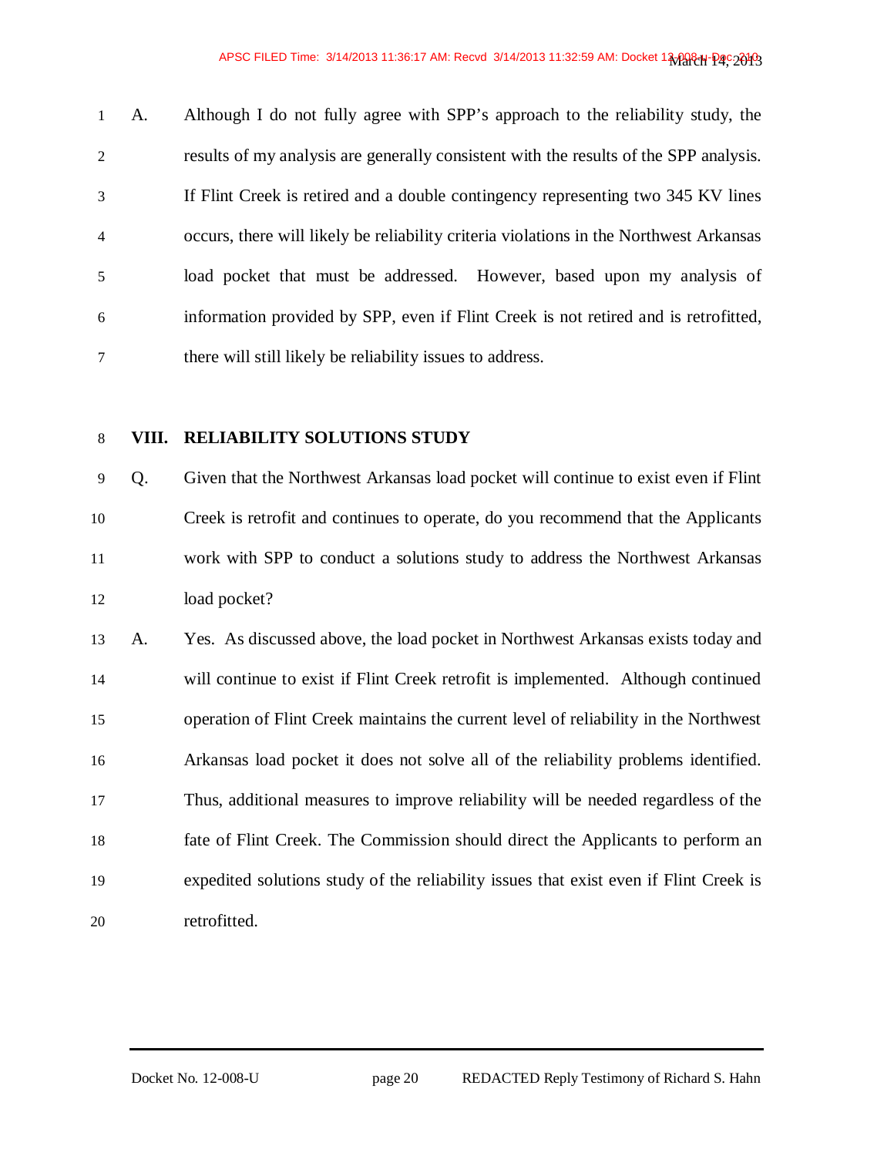A. Although I do not fully agree with SPP's approach to the reliability study, the results of my analysis are generally consistent with the results of the SPP analysis. If Flint Creek is retired and a double contingency representing two 345 KV lines occurs, there will likely be reliability criteria violations in the Northwest Arkansas load pocket that must be addressed. However, based upon my analysis of information provided by SPP, even if Flint Creek is not retired and is retrofitted, there will still likely be reliability issues to address.

### **VIII. RELIABILITY SOLUTIONS STUDY**

Q. Given that the Northwest Arkansas load pocket will continue to exist even if Flint Creek is retrofit and continues to operate, do you recommend that the Applicants work with SPP to conduct a solutions study to address the Northwest Arkansas load pocket?

A. Yes. As discussed above, the load pocket in Northwest Arkansas exists today and will continue to exist if Flint Creek retrofit is implemented. Although continued operation of Flint Creek maintains the current level of reliability in the Northwest Arkansas load pocket it does not solve all of the reliability problems identified. Thus, additional measures to improve reliability will be needed regardless of the fate of Flint Creek. The Commission should direct the Applicants to perform an expedited solutions study of the reliability issues that exist even if Flint Creek is retrofitted.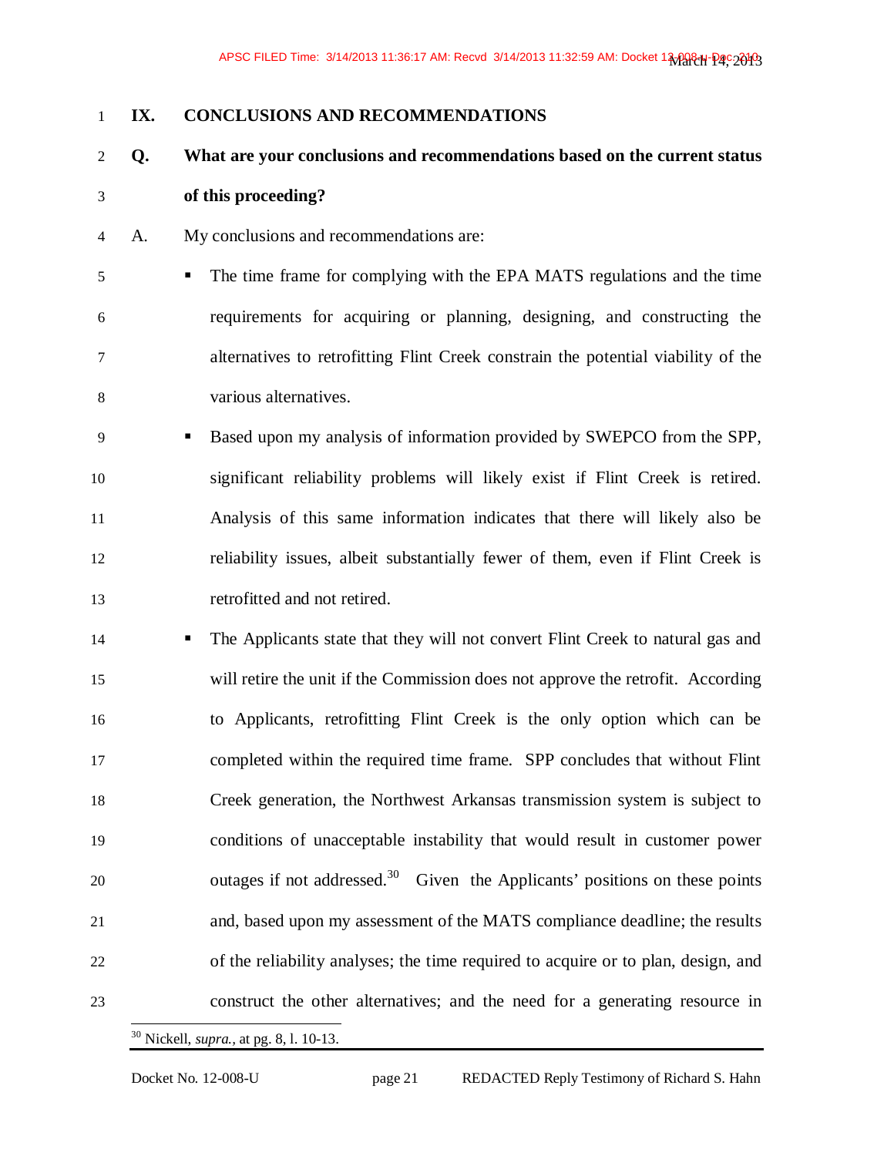### **IX. CONCLUSIONS AND RECOMMENDATIONS**

# **Q. What are your conclusions and recommendations based on the current status**

- **of this proceeding?**
- A. My conclusions and recommendations are:
- The time frame for complying with the EPA MATS regulations and the time requirements for acquiring or planning, designing, and constructing the alternatives to retrofitting Flint Creek constrain the potential viability of the various alternatives.
- Based upon my analysis of information provided by SWEPCO from the SPP, significant reliability problems will likely exist if Flint Creek is retired. Analysis of this same information indicates that there will likely also be reliability issues, albeit substantially fewer of them, even if Flint Creek is retrofitted and not retired.
- The Applicants state that they will not convert Flint Creek to natural gas and will retire the unit if the Commission does not approve the retrofit. According to Applicants, retrofitting Flint Creek is the only option which can be completed within the required time frame. SPP concludes that without Flint Creek generation, the Northwest Arkansas transmission system is subject to conditions of unacceptable instability that would result in customer power outages if not addressed.<sup>30</sup> Given the Applicants' positions on these points and, based upon my assessment of the MATS compliance deadline; the results of the reliability analyses; the time required to acquire or to plan, design, and construct the other alternatives; and the need for a generating resource in -
	- Nickell, *supra.,* at pg. 8, l. 10-13.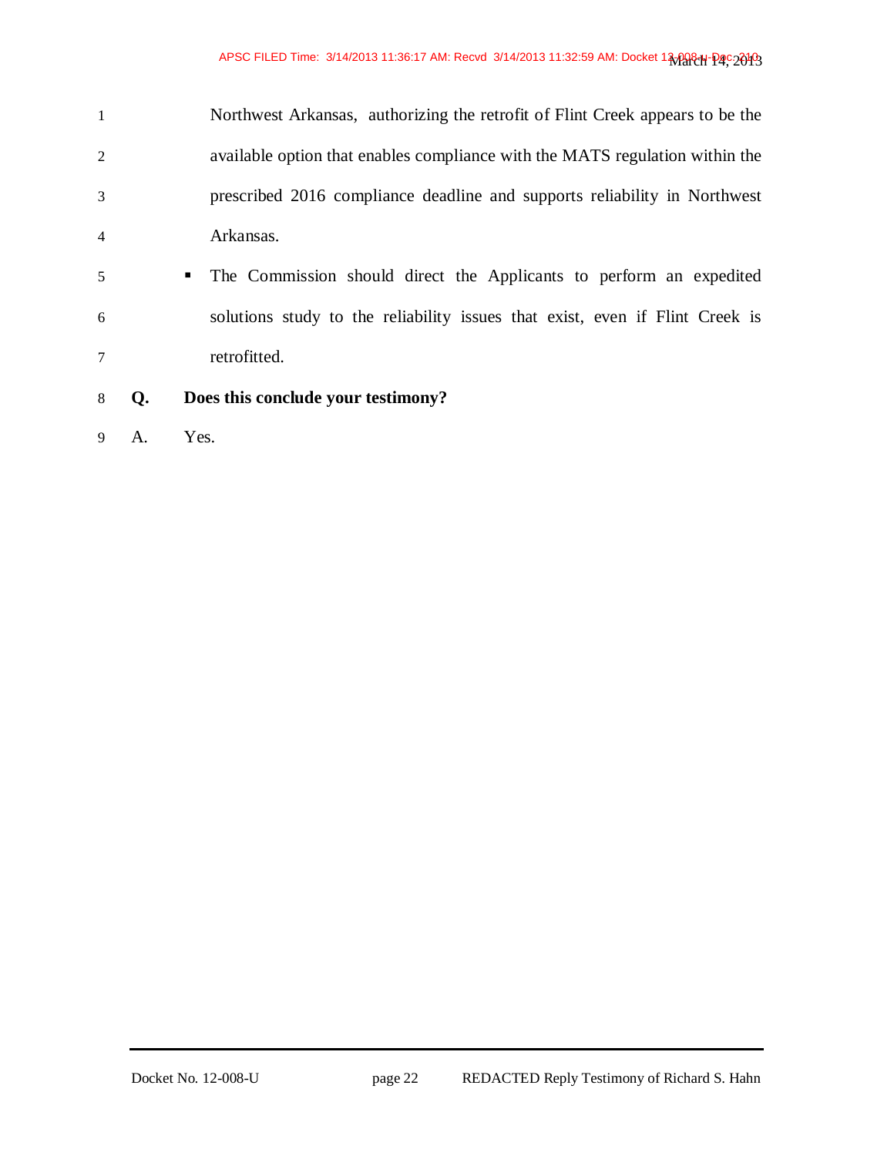|                | Northwest Arkansas, authorizing the retrofit of Flint Creek appears to be the |
|----------------|-------------------------------------------------------------------------------|
| 2              | available option that enables compliance with the MATS regulation within the  |
| 3              | prescribed 2016 compliance deadline and supports reliability in Northwest     |
| $\overline{4}$ | Arkansas.                                                                     |

- The Commission should direct the Applicants to perform an expedited solutions study to the reliability issues that exist, even if Flint Creek is retrofitted.
- **Q. Does this conclude your testimony?**
- A. Yes.